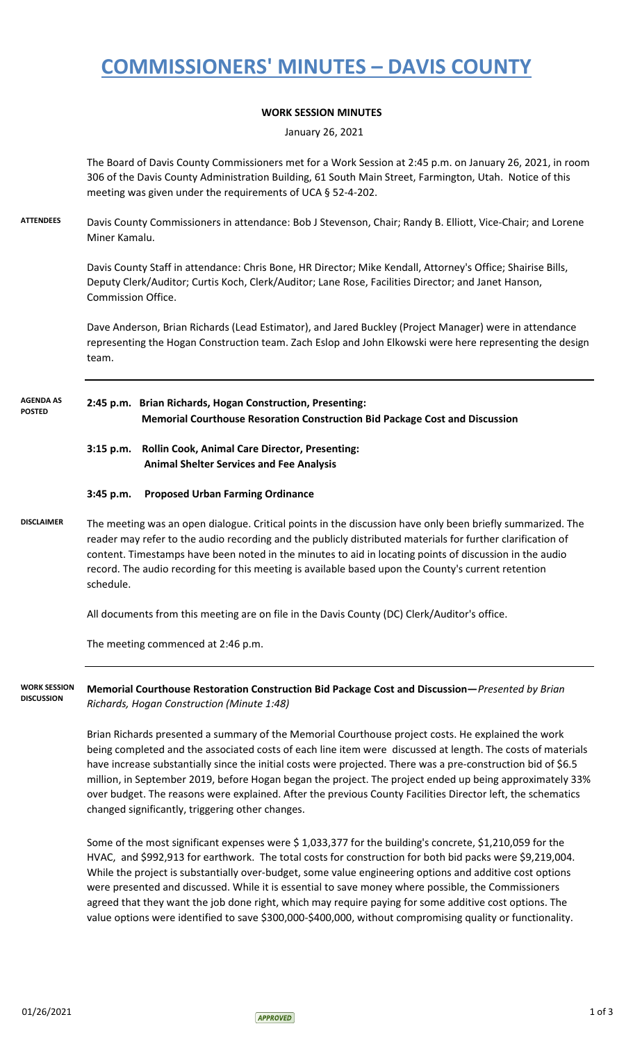## **COMMISSIONERS' MINUTES – DAVIS COUNTY**

### **WORK SESSION MINUTES**

January 26, 2021

The Board of Davis County Commissioners met for a Work Session at 2:45 p.m. on January 26, 2021, in room 306 of the Davis County Administration Building, 61 South Main Street, Farmington, Utah. Notice of this meeting was given under the requirements of UCA § 52-4-202.

**ATTENDEES** Davis County Commissioners in attendance: Bob J Stevenson, Chair; Randy B. Elliott, Vice-Chair; and Lorene Miner Kamalu.

> Davis County Staff in attendance: Chris Bone, HR Director; Mike Kendall, Attorney's Office; Shairise Bills, Deputy Clerk/Auditor; Curtis Koch, Clerk/Auditor; Lane Rose, Facilities Director; and Janet Hanson, Commission Office.

Dave Anderson, Brian Richards (Lead Estimator), and Jared Buckley (Project Manager) were in attendance representing the Hogan Construction team. Zach Eslop and John Elkowski were here representing the design team.

#### **2:45 p.m. Brian Richards, Hogan Construction, Presenting: Memorial Courthouse Resoration Construction Bid Package Cost and Discussion AGENDA AS POSTED**

- **3:15 p.m. Rollin Cook, Animal Care Director, Presenting: Animal Shelter Services and Fee Analysis**
- **3:45 p.m. Proposed Urban Farming Ordinance**
- **DISCLAIMER** The meeting was an open dialogue. Critical points in the discussion have only been briefly summarized. The reader may refer to the audio recording and the publicly distributed materials for further clarification of content. Timestamps have been noted in the minutes to aid in locating points of discussion in the audio record. The audio recording for this meeting is available based upon the County's current retention schedule.

All documents from this meeting are on file in the Davis County (DC) Clerk/Auditor's office.

The meeting commenced at 2:46 p.m.

**Memorial Courthouse Restoration Construction Bid Package Cost and Discussion—***Presented by Brian Richards, Hogan Construction (Minute 1:48)* **WORK SESSION DISCUSSION**

> Brian Richards presented a summary of the Memorial Courthouse project costs. He explained the work being completed and the associated costs of each line item were discussed at length. The costs of materials have increase substantially since the initial costs were projected. There was a pre-construction bid of \$6.5 million, in September 2019, before Hogan began the project. The project ended up being approximately 33% over budget. The reasons were explained. After the previous County Facilities Director left, the schematics changed significantly, triggering other changes.

Some of the most significant expenses were \$ 1,033,377 for the building's concrete, \$1,210,059 for the HVAC, and \$992,913 for earthwork. The total costs for construction for both bid packs were \$9,219,004. While the project is substantially over-budget, some value engineering options and additive cost options were presented and discussed. While it is essential to save money where possible, the Commissioners agreed that they want the job done right, which may require paying for some additive cost options. The value options were identified to save \$300,000-\$400,000, without compromising quality or functionality.

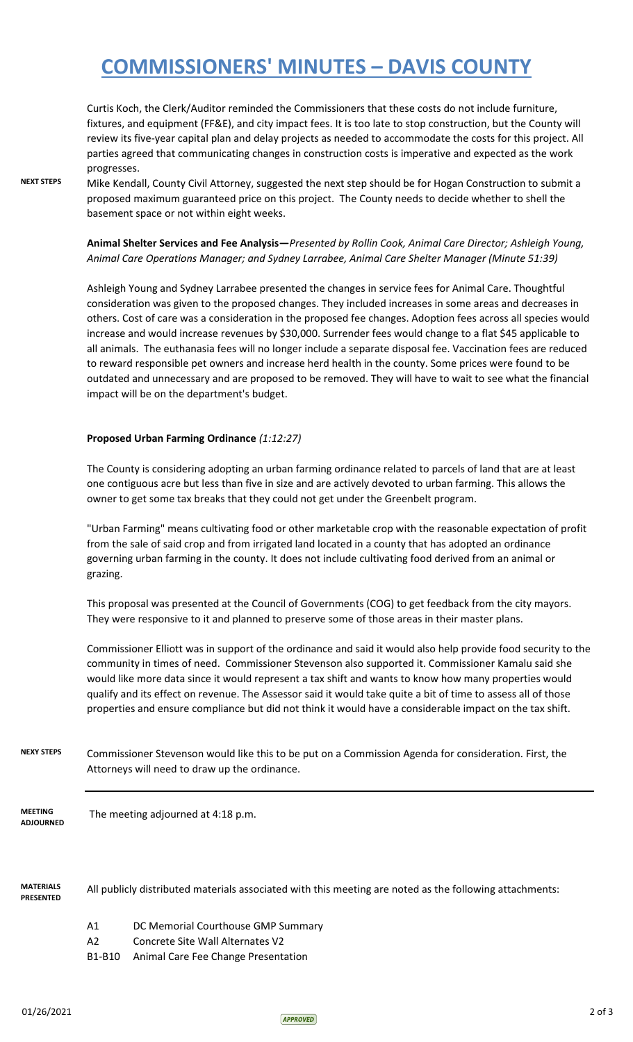## **COMMISSIONERS' MINUTES – DAVIS COUNTY**

Curtis Koch, the Clerk/Auditor reminded the Commissioners that these costs do not include furniture, fixtures, and equipment (FF&E), and city impact fees. It is too late to stop construction, but the County will review its five-year capital plan and delay projects as needed to accommodate the costs for this project. All parties agreed that communicating changes in construction costs is imperative and expected as the work progresses.

**NEXT STEPS** Mike Kendall, County Civil Attorney, suggested the next step should be for Hogan Construction to submit a proposed maximum guaranteed price on this project. The County needs to decide whether to shell the basement space or not within eight weeks.

> **Animal Shelter Services and Fee Analysis—***Presented by Rollin Cook, Animal Care Director; Ashleigh Young, Animal Care Operations Manager; and Sydney Larrabee, Animal Care Shelter Manager (Minute 51:39)*

Ashleigh Young and Sydney Larrabee presented the changes in service fees for Animal Care. Thoughtful consideration was given to the proposed changes. They included increases in some areas and decreases in others. Cost of care was a consideration in the proposed fee changes. Adoption fees across all species would increase and would increase revenues by \$30,000. Surrender fees would change to a flat \$45 applicable to all animals. The euthanasia fees will no longer include a separate disposal fee. Vaccination fees are reduced to reward responsible pet owners and increase herd health in the county. Some prices were found to be outdated and unnecessary and are proposed to be removed. They will have to wait to see what the financial impact will be on the department's budget.

#### **Proposed Urban Farming Ordinance** *(1:12:27)*

The County is considering adopting an urban farming ordinance related to parcels of land that are at least one contiguous acre but less than five in size and are actively devoted to urban farming. This allows the owner to get some tax breaks that they could not get under the Greenbelt program.

"Urban Farming" means cultivating food or other marketable crop with the reasonable expectation of profit from the sale of said crop and from irrigated land located in a county that has adopted an ordinance governing urban farming in the county. It does not include cultivating food derived from an animal or grazing.

This proposal was presented at the Council of Governments (COG) to get feedback from the city mayors. They were responsive to it and planned to preserve some of those areas in their master plans.

Commissioner Elliott was in support of the ordinance and said it would also help provide food security to the community in times of need. Commissioner Stevenson also supported it. Commissioner Kamalu said she would like more data since it would represent a tax shift and wants to know how many properties would qualify and its effect on revenue. The Assessor said it would take quite a bit of time to assess all of those properties and ensure compliance but did not think it would have a considerable impact on the tax shift.

**NEXY STEPS** Commissioner Stevenson would like this to be put on a Commission Agenda for consideration. First, the Attorneys will need to draw up the ordinance.

 The meeting adjourned at 4:18 p.m. **MEETING ADJOURNED**

**MATERIALS PRESENTED** All publicly distributed materials associated with this meeting are noted as the following attachments:

- A1 DC Memorial Courthouse GMP Summary
- A2 Concrete Site Wall Alternates V2
- B1-B10 Animal Care Fee Change Presentation